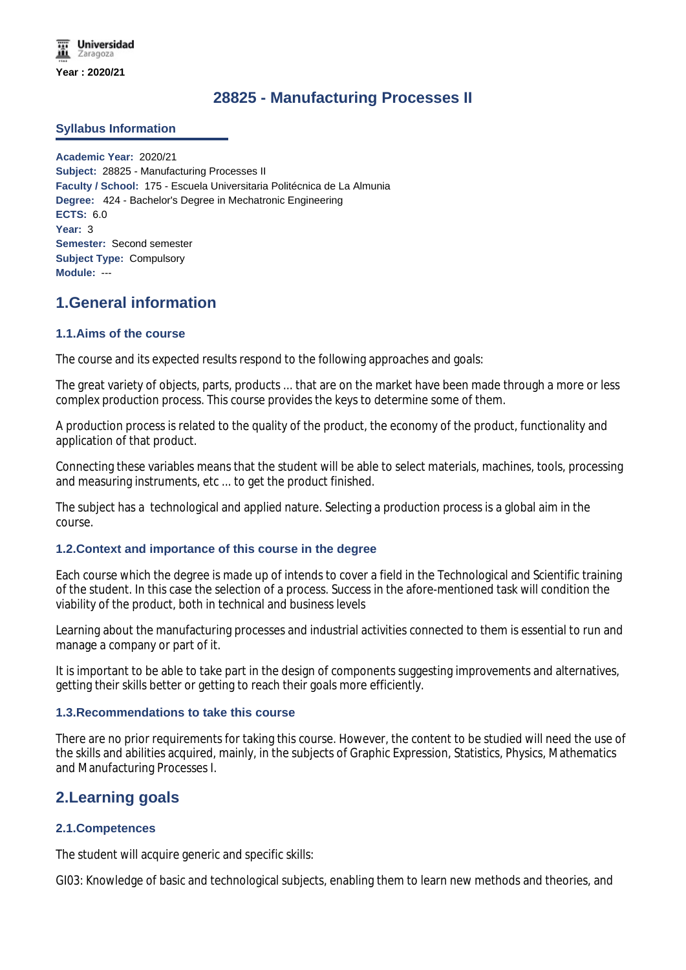**Universidad** Zaragoza **Year : 2020/21**

# **28825 - Manufacturing Processes II**

#### **Syllabus Information**

**Academic Year:** 2020/21 **Subject:** 28825 - Manufacturing Processes II **Faculty / School:** 175 - Escuela Universitaria Politécnica de La Almunia **Degree:** 424 - Bachelor's Degree in Mechatronic Engineering **ECTS:** 6.0 **Year:** 3 **Semester:** Second semester **Subject Type:** Compulsory **Module:** ---

## **1.General information**

#### **1.1.Aims of the course**

The course and its expected results respond to the following approaches and goals:

The great variety of objects, parts, products ... that are on the market have been made through a more or less complex production process. This course provides the keys to determine some of them.

A production process is related to the quality of the product, the economy of the product, functionality and application of that product.

Connecting these variables means that the student will be able to select materials, machines, tools, processing and measuring instruments, etc ... to get the product finished.

The subject has a technological and applied nature. Selecting a production process is a global aim in the course.

#### **1.2.Context and importance of this course in the degree**

Each course which the degree is made up of intends to cover a field in the Technological and Scientific training of the student. In this case the selection of a process. Success in the afore-mentioned task will condition the viability of the product, both in technical and business levels

Learning about the manufacturing processes and industrial activities connected to them is essential to run and manage a company or part of it.

It is important to be able to take part in the design of components suggesting improvements and alternatives, getting their skills better or getting to reach their goals more efficiently.

#### **1.3.Recommendations to take this course**

There are no prior requirements for taking this course. However, the content to be studied will need the use of the skills and abilities acquired, mainly, in the subjects of Graphic Expression, Statistics, Physics, Mathematics and Manufacturing Processes I.

## **2.Learning goals**

#### **2.1.Competences**

The student will acquire generic and specific skills:

GI03: Knowledge of basic and technological subjects, enabling them to learn new methods and theories, and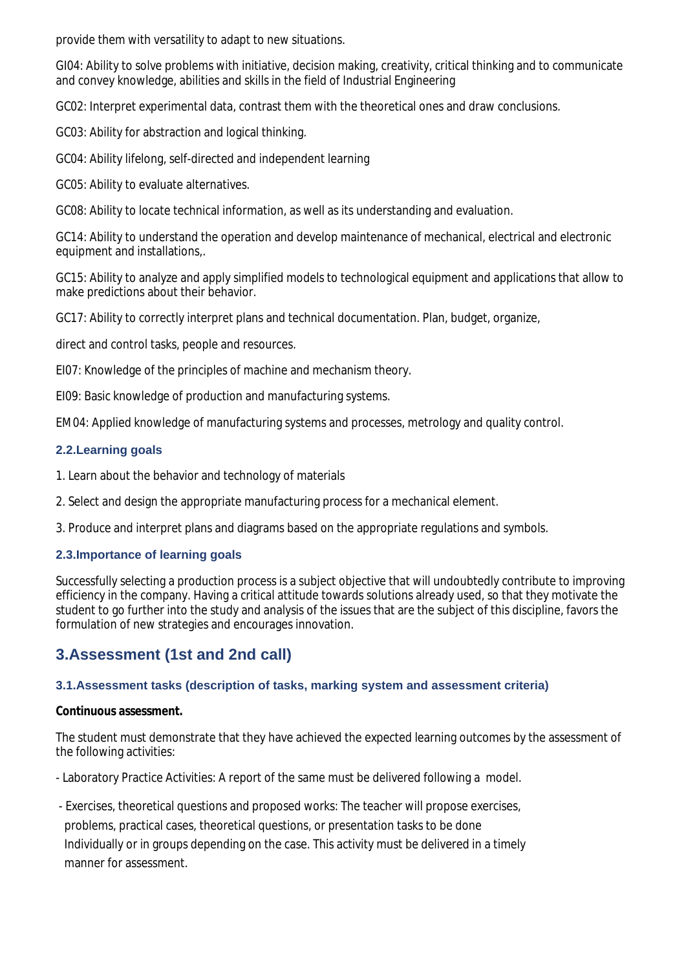$G_{\rm 35}$ : Knowledge of basic and technological subjects, enabling them to learn new methods and theories, and the provide them with versatility to adapt to new situations.

GI04: Ability to solve problems with initiative, decision making, creativity, critical thinking and to communicate and convey knowledge, abilities and skills in the field of Industrial Engineering

GC02: Interpret experimental data, contrast them with the theoretical ones and draw conclusions.

GC03: Ability for abstraction and logical thinking.

GC04: Ability lifelong, self-directed and independent learning

GC05: Ability to evaluate alternatives.

GC08: Ability to locate technical information, as well as its understanding and evaluation.

GC14: Ability to understand the operation and develop maintenance of mechanical, electrical and electronic equipment and installations,.

GC15: Ability to analyze and apply simplified models to technological equipment and applications that allow to make predictions about their behavior.

GC17: Ability to correctly interpret plans and technical documentation. Plan, budget, organize,

direct and control tasks, people and resources.

EI07: Knowledge of the principles of machine and mechanism theory.

EI09: Basic knowledge of production and manufacturing systems.

EM04: Applied knowledge of manufacturing systems and processes, metrology and quality control.

### **2.2.Learning goals**

- 1. Learn about the behavior and technology of materials
- 2. Select and design the appropriate manufacturing process for a mechanical element.

3. Produce and interpret plans and diagrams based on the appropriate regulations and symbols.

## **2.3.Importance of learning goals**

Successfully selecting a production process is a subject objective that will undoubtedly contribute to improving efficiency in the company. Having a critical attitude towards solutions already used, so that they motivate the student to go further into the study and analysis of the issues that are the subject of this discipline, favors the formulation of new strategies and encourages innovation.

# **3.Assessment (1st and 2nd call)**

### **3.1.Assessment tasks (description of tasks, marking system and assessment criteria)**

**Continuous assessment.**

The student must demonstrate that they have achieved the expected learning outcomes by the assessment of the following activities:

- Laboratory Practice Activities: A report of the same must be delivered following a model.

 - Exercises, theoretical questions and proposed works: The teacher will propose exercises, problems, practical cases, theoretical questions, or presentation tasks to be done Individually or in groups depending on the case. This activity must be delivered in a timely manner for assessment.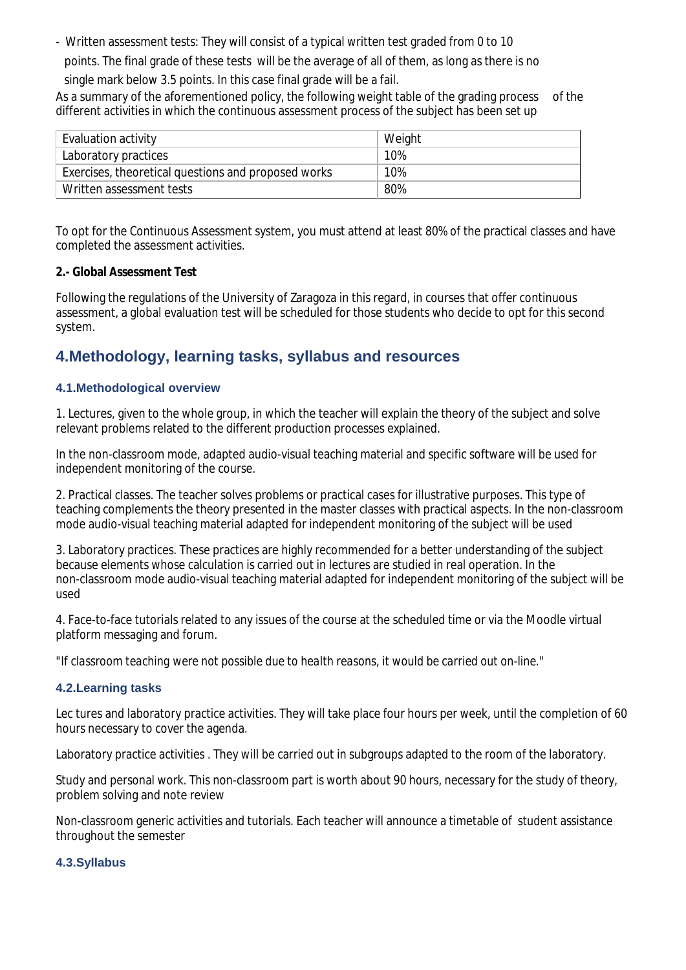- Written assessment tests: They will consist of a typical written test graded from 0 to 10 points. The final grade of these tests will be the average of all of them, as long as there is no single mark below 3.5 points. In this case final grade will be a fail.

As a summary of the aforementioned policy, the following weight table of the grading process of the different activities in which the continuous assessment process of the subject has been set up

| Evaluation activity                                 | Weight |
|-----------------------------------------------------|--------|
| Laboratory practices                                | 10%    |
| Exercises, theoretical questions and proposed works | 10%    |
| Written assessment tests                            | 80%    |

To opt for the Continuous Assessment system, you must attend at least 80% of the practical classes and have completed the assessment activities.

### **2.- Global Assessment Test**

Following the regulations of the University of Zaragoza in this regard, in courses that offer continuous assessment, a global evaluation test will be scheduled for those students who decide to opt for this second system.

# **4.Methodology, learning tasks, syllabus and resources**

## **4.1.Methodological overview**

1. Lectures, given to the whole group, in which the teacher will explain the theory of the subject and solve relevant problems related to the different production processes explained.

In the non-classroom mode, adapted audio-visual teaching material and specific software will be used for independent monitoring of the course.

2. Practical classes. The teacher solves problems or practical cases for illustrative purposes. This type of teaching complements the theory presented in the master classes with practical aspects. In the non-classroom mode audio-visual teaching material adapted for independent monitoring of the subject will be used

3. Laboratory practices. These practices are highly recommended for a better understanding of the subject because elements whose calculation is carried out in lectures are studied in real operation. In the non-classroom mode audio-visual teaching material adapted for independent monitoring of the subject will be used

4. Face-to-face tutorials related to any issues of the course at the scheduled time or via the Moodle virtual platform messaging and forum.

*"If classroom teaching were not possible due to health reasons, it would be carried out on-line."*

### **4.2.Learning tasks**

Lec tures and laboratory practice activities. They will take place four hours per week, until the completion of 60 hours necessary to cover the agenda.

Laboratory practice activities . They will be carried out in subgroups adapted to the room of the laboratory.

Study and personal work. This non-classroom part is worth about 90 hours, necessary for the study of theory, problem solving and note review

Non-classroom generic activities and tutorials. Each teacher will announce a timetable of student assistance throughout the semester

### **4.3.Syllabus**